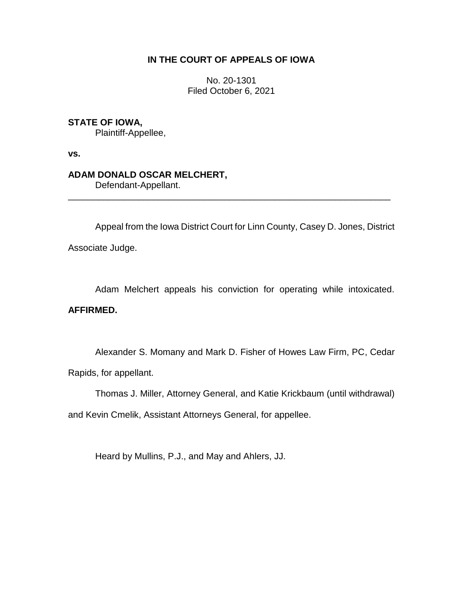# **IN THE COURT OF APPEALS OF IOWA**

No. 20-1301 Filed October 6, 2021

# **STATE OF IOWA,**

Plaintiff-Appellee,

**vs.**

## **ADAM DONALD OSCAR MELCHERT,**

Defendant-Appellant.

Appeal from the Iowa District Court for Linn County, Casey D. Jones, District Associate Judge.

\_\_\_\_\_\_\_\_\_\_\_\_\_\_\_\_\_\_\_\_\_\_\_\_\_\_\_\_\_\_\_\_\_\_\_\_\_\_\_\_\_\_\_\_\_\_\_\_\_\_\_\_\_\_\_\_\_\_\_\_\_\_\_\_

Adam Melchert appeals his conviction for operating while intoxicated.

## **AFFIRMED.**

Alexander S. Momany and Mark D. Fisher of Howes Law Firm, PC, Cedar Rapids, for appellant.

Thomas J. Miller, Attorney General, and Katie Krickbaum (until withdrawal)

and Kevin Cmelik, Assistant Attorneys General, for appellee.

Heard by Mullins, P.J., and May and Ahlers, JJ.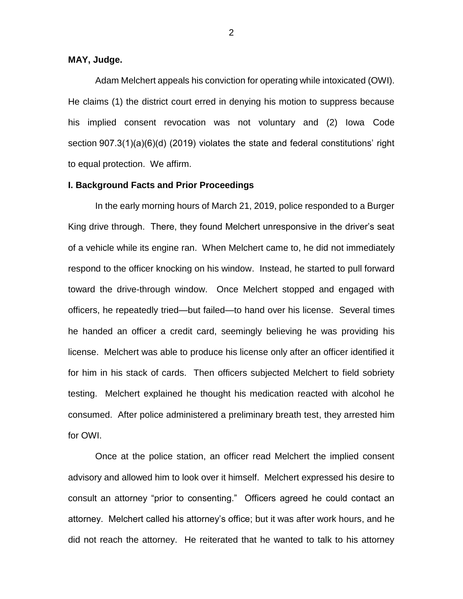### **MAY, Judge.**

Adam Melchert appeals his conviction for operating while intoxicated (OWI). He claims (1) the district court erred in denying his motion to suppress because his implied consent revocation was not voluntary and (2) Iowa Code section 907.3(1)(a)(6)(d) (2019) violates the state and federal constitutions' right to equal protection. We affirm.

### **I. Background Facts and Prior Proceedings**

In the early morning hours of March 21, 2019, police responded to a Burger King drive through. There, they found Melchert unresponsive in the driver's seat of a vehicle while its engine ran. When Melchert came to, he did not immediately respond to the officer knocking on his window. Instead, he started to pull forward toward the drive-through window. Once Melchert stopped and engaged with officers, he repeatedly tried—but failed—to hand over his license. Several times he handed an officer a credit card, seemingly believing he was providing his license. Melchert was able to produce his license only after an officer identified it for him in his stack of cards. Then officers subjected Melchert to field sobriety testing. Melchert explained he thought his medication reacted with alcohol he consumed. After police administered a preliminary breath test, they arrested him for OWI.

Once at the police station, an officer read Melchert the implied consent advisory and allowed him to look over it himself. Melchert expressed his desire to consult an attorney "prior to consenting." Officers agreed he could contact an attorney. Melchert called his attorney's office; but it was after work hours, and he did not reach the attorney. He reiterated that he wanted to talk to his attorney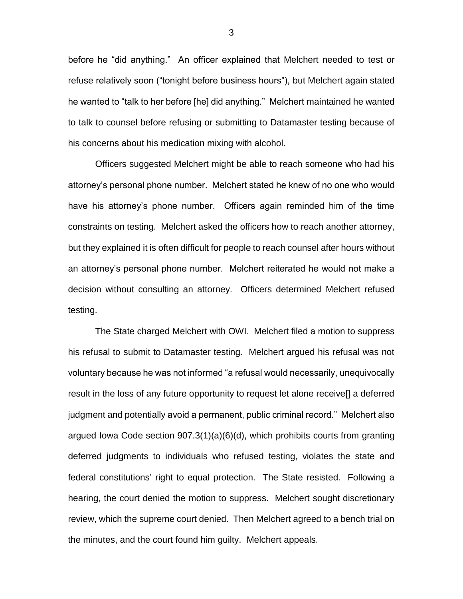before he "did anything." An officer explained that Melchert needed to test or refuse relatively soon ("tonight before business hours"), but Melchert again stated he wanted to "talk to her before [he] did anything." Melchert maintained he wanted to talk to counsel before refusing or submitting to Datamaster testing because of his concerns about his medication mixing with alcohol.

Officers suggested Melchert might be able to reach someone who had his attorney's personal phone number. Melchert stated he knew of no one who would have his attorney's phone number. Officers again reminded him of the time constraints on testing. Melchert asked the officers how to reach another attorney, but they explained it is often difficult for people to reach counsel after hours without an attorney's personal phone number. Melchert reiterated he would not make a decision without consulting an attorney. Officers determined Melchert refused testing.

The State charged Melchert with OWI. Melchert filed a motion to suppress his refusal to submit to Datamaster testing. Melchert argued his refusal was not voluntary because he was not informed "a refusal would necessarily, unequivocally result in the loss of any future opportunity to request let alone receive[] a deferred judgment and potentially avoid a permanent, public criminal record." Melchert also argued Iowa Code section 907.3(1)(a)(6)(d), which prohibits courts from granting deferred judgments to individuals who refused testing, violates the state and federal constitutions' right to equal protection. The State resisted. Following a hearing, the court denied the motion to suppress. Melchert sought discretionary review, which the supreme court denied. Then Melchert agreed to a bench trial on the minutes, and the court found him guilty. Melchert appeals.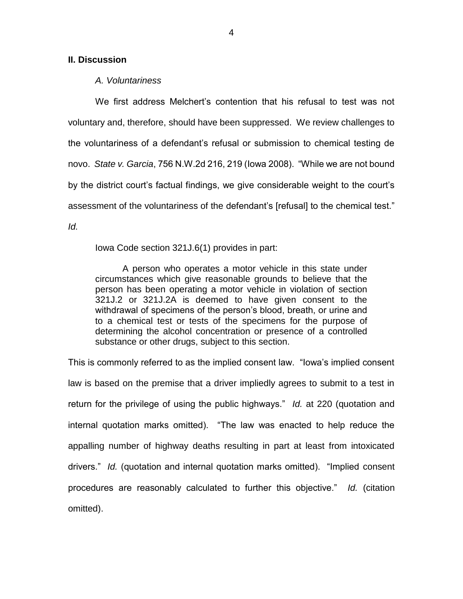### **II. Discussion**

#### *A. Voluntariness*

We first address Melchert's contention that his refusal to test was not voluntary and, therefore, should have been suppressed. We review challenges to the voluntariness of a defendant's refusal or submission to chemical testing de novo. *State v. Garcia*, 756 N.W.2d 216, 219 (Iowa 2008). "While we are not bound by the district court's factual findings, we give considerable weight to the court's assessment of the voluntariness of the defendant's [refusal] to the chemical test." *Id.*

Iowa Code section 321J.6(1) provides in part:

A person who operates a motor vehicle in this state under circumstances which give reasonable grounds to believe that the person has been operating a motor vehicle in violation of section 321J.2 or 321J.2A is deemed to have given consent to the withdrawal of specimens of the person's blood, breath, or urine and to a chemical test or tests of the specimens for the purpose of determining the alcohol concentration or presence of a controlled substance or other drugs, subject to this section.

This is commonly referred to as the implied consent law. "Iowa's implied consent law is based on the premise that a driver impliedly agrees to submit to a test in return for the privilege of using the public highways." *Id.* at 220 (quotation and internal quotation marks omitted). "The law was enacted to help reduce the appalling number of highway deaths resulting in part at least from intoxicated drivers." *Id.* (quotation and internal quotation marks omitted). "Implied consent procedures are reasonably calculated to further this objective." *Id.* (citation omitted).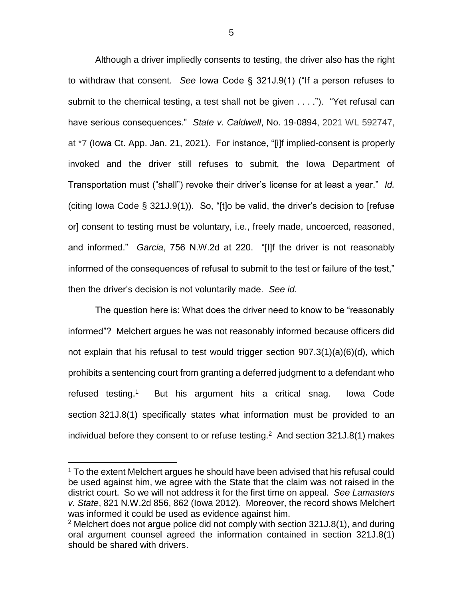Although a driver impliedly consents to testing, the driver also has the right to withdraw that consent. *See* Iowa Code § 321J.9(1) ("If a person refuses to submit to the chemical testing, a test shall not be given . . . ."). "Yet refusal can have serious consequences." *State v. Caldwell*, No. 19-0894, 2021 WL 592747, at \*7 (Iowa Ct. App. Jan. 21, 2021). For instance, "[i]f implied-consent is properly invoked and the driver still refuses to submit, the Iowa Department of Transportation must ("shall") revoke their driver's license for at least a year." *Id.* (citing Iowa Code § 321J.9(1)). So, "[t]o be valid, the driver's decision to [refuse or] consent to testing must be voluntary, i.e., freely made, uncoerced, reasoned, and informed." *Garcia*, 756 N.W.2d at 220. "[I]f the driver is not reasonably informed of the consequences of refusal to submit to the test or failure of the test," then the driver's decision is not voluntarily made. *See id.*

The question here is: What does the driver need to know to be "reasonably informed"? Melchert argues he was not reasonably informed because officers did not explain that his refusal to test would trigger section 907.3(1)(a)(6)(d), which prohibits a sentencing court from granting a deferred judgment to a defendant who refused testing. 1 But his argument hits a critical snag. Iowa Code section 321J.8(1) specifically states what information must be provided to an individual before they consent to or refuse testing. $2$  And section 321J.8(1) makes

 $\overline{a}$ 

<sup>&</sup>lt;sup>1</sup> To the extent Melchert argues he should have been advised that his refusal could be used against him, we agree with the State that the claim was not raised in the district court. So we will not address it for the first time on appeal. *See Lamasters v. State*, 821 N.W.2d 856, 862 (Iowa 2012). Moreover, the record shows Melchert was informed it could be used as evidence against him.

 $2$  Melchert does not argue police did not comply with section 321J.8(1), and during oral argument counsel agreed the information contained in section 321J.8(1) should be shared with drivers.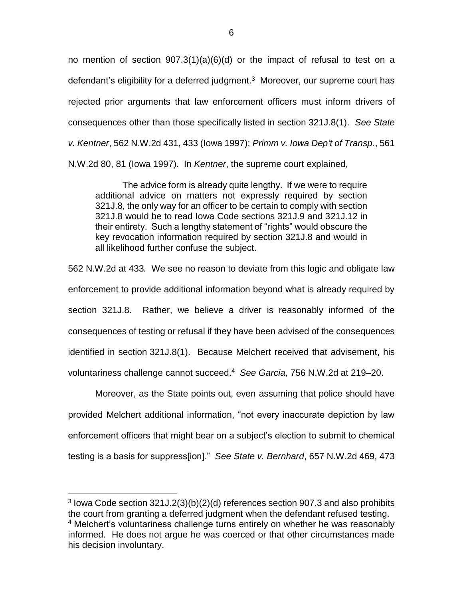no mention of section 907.3(1)(a)(6)(d) or the impact of refusal to test on a defendant's eligibility for a deferred judgment.<sup>3</sup> Moreover, our supreme court has rejected prior arguments that law enforcement officers must inform drivers of consequences other than those specifically listed in section 321J.8(1). *See State v. Kentner*, 562 N.W.2d 431, 433 (Iowa 1997); *Primm v. Iowa Dep't of Transp.*, 561 N.W.2d 80, 81 (Iowa 1997). In *Kentner*, the supreme court explained,

The advice form is already quite lengthy. If we were to require additional advice on matters not expressly required by section 321J.8, the only way for an officer to be certain to comply with section 321J.8 would be to read Iowa Code sections 321J.9 and 321J.12 in their entirety. Such a lengthy statement of "rights" would obscure the key revocation information required by section 321J.8 and would in all likelihood further confuse the subject.

562 N.W.2d at 433*.* We see no reason to deviate from this logic and obligate law enforcement to provide additional information beyond what is already required by section 321J.8. Rather, we believe a driver is reasonably informed of the consequences of testing or refusal if they have been advised of the consequences identified in section 321J.8(1). Because Melchert received that advisement, his voluntariness challenge cannot succeed. 4 *See Garcia*, 756 N.W.2d at 219–20.

Moreover, as the State points out, even assuming that police should have provided Melchert additional information, "not every inaccurate depiction by law enforcement officers that might bear on a subject's election to submit to chemical testing is a basis for suppress[ion]." *See State v. Bernhard*, 657 N.W.2d 469, 473

 $\overline{a}$ 

<sup>3</sup> Iowa Code section 321J.2(3)(b)(2)(d) references section 907.3 and also prohibits the court from granting a deferred judgment when the defendant refused testing. <sup>4</sup> Melchert's voluntariness challenge turns entirely on whether he was reasonably informed. He does not argue he was coerced or that other circumstances made his decision involuntary.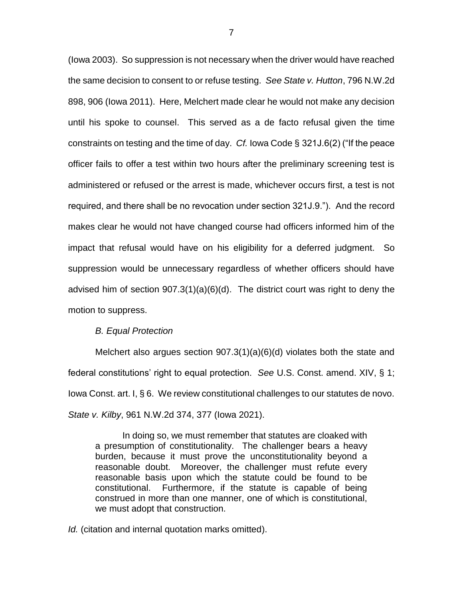(Iowa 2003). So suppression is not necessary when the driver would have reached the same decision to consent to or refuse testing. *See State v. Hutton*, 796 N.W.2d 898, 906 (Iowa 2011). Here, Melchert made clear he would not make any decision until his spoke to counsel. This served as a de facto refusal given the time constraints on testing and the time of day. *Cf.* Iowa Code § 321J.6(2) ("If the peace officer fails to offer a test within two hours after the preliminary screening test is administered or refused or the arrest is made, whichever occurs first, a test is not required, and there shall be no revocation under section 321J.9."). And the record makes clear he would not have changed course had officers informed him of the impact that refusal would have on his eligibility for a deferred judgment. So suppression would be unnecessary regardless of whether officers should have advised him of section 907.3(1)(a)(6)(d). The district court was right to deny the motion to suppress.

#### *B. Equal Protection*

Melchert also argues section 907.3(1)(a)(6)(d) violates both the state and federal constitutions' right to equal protection. *See* U.S. Const. amend. XIV, § 1; Iowa Const. art. I, § 6. We review constitutional challenges to our statutes de novo. *State v. Kilby*, 961 N.W.2d 374, 377 (Iowa 2021).

In doing so, we must remember that statutes are cloaked with a presumption of constitutionality. The challenger bears a heavy burden, because it must prove the unconstitutionality beyond a reasonable doubt. Moreover, the challenger must refute every reasonable basis upon which the statute could be found to be constitutional. Furthermore, if the statute is capable of being construed in more than one manner, one of which is constitutional, we must adopt that construction.

*Id.* (citation and internal quotation marks omitted).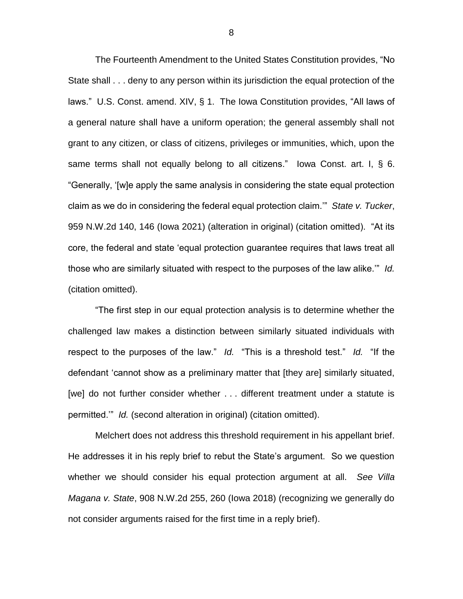The Fourteenth Amendment to the United States Constitution provides, "No State shall . . . deny to any person within its jurisdiction the equal protection of the laws." U.S. Const. amend. XIV, § 1. The Iowa Constitution provides, "All laws of a general nature shall have a uniform operation; the general assembly shall not grant to any citizen, or class of citizens, privileges or immunities, which, upon the same terms shall not equally belong to all citizens." Iowa Const. art. I, § 6. "Generally, '[w]e apply the same analysis in considering the state equal protection claim as we do in considering the federal equal protection claim.'" *State v. Tucker*, 959 N.W.2d 140, 146 (Iowa 2021) (alteration in original) (citation omitted). "At its core, the federal and state 'equal protection guarantee requires that laws treat all those who are similarly situated with respect to the purposes of the law alike.'" *Id.* (citation omitted).

"The first step in our equal protection analysis is to determine whether the challenged law makes a distinction between similarly situated individuals with respect to the purposes of the law." *Id.* "This is a threshold test." *Id.* "If the defendant 'cannot show as a preliminary matter that [they are] similarly situated, [we] do not further consider whether . . . different treatment under a statute is permitted.'" *Id.* (second alteration in original) (citation omitted).

Melchert does not address this threshold requirement in his appellant brief. He addresses it in his reply brief to rebut the State's argument. So we question whether we should consider his equal protection argument at all. *See Villa Magana v. State*, 908 N.W.2d 255, 260 (Iowa 2018) (recognizing we generally do not consider arguments raised for the first time in a reply brief).